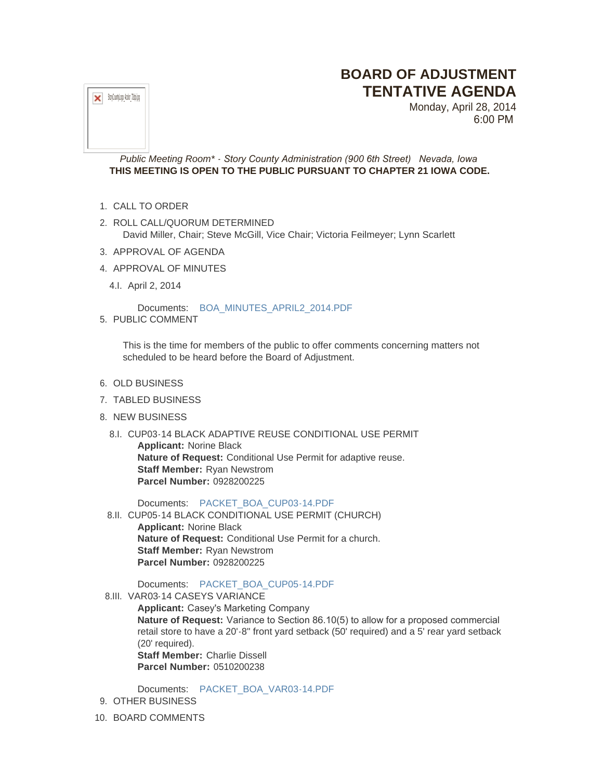# **BOARD OF ADJUSTMENT TENTATIVE AGENDA**



Monday, April 28, 2014 6:00 PM

# *Public Meeting Room\* - Story County Administration (900 6th Street) Nevada, Iowa* **THIS MEETING IS OPEN TO THE PUBLIC PURSUANT TO CHAPTER 21 IOWA CODE.**

- 1. CALL TO ORDER
- 2. ROLL CALL/QUORUM DETERMINED David Miller, Chair; Steve McGill, Vice Chair; Victoria Feilmeyer; Lynn Scarlett
- 3. APPROVAL OF AGENDA
- 4. APPROVAL OF MINUTES
- 4.I. April 2, 2014

Documents: [BOA\\_MINUTES\\_APRIL2\\_2014.PDF](http://www.storycountyiowa.gov/AgendaCenter/ViewFile/Item/3151?fileID=2365)

5. PUBLIC COMMENT

This is the time for members of the public to offer comments concerning matters not scheduled to be heard before the Board of Adjustment.

- 6. OLD BUSINESS
- 7. TABLED BUSINESS
- 8. NEW BUSINESS
	- 8.I. CUP03-14 BLACK ADAPTIVE REUSE CONDITIONAL USE PERMIT **Applicant:** Norine Black **Nature of Request:** Conditional Use Permit for adaptive reuse. **Staff Member:** Ryan Newstrom **Parcel Number:** 0928200225

Documents: [PACKET\\_BOA\\_CUP03-14.PDF](http://www.storycountyiowa.gov/AgendaCenter/ViewFile/Item/3086?fileID=2362)

8.II. CUP05-14 BLACK CONDITIONAL USE PERMIT (CHURCH) **Applicant:** Norine Black **Nature of Request:** Conditional Use Permit for a church. **Staff Member:** Ryan Newstrom **Parcel Number:** 0928200225

## Documents: [PACKET\\_BOA\\_CUP05-14.PDF](http://www.storycountyiowa.gov/AgendaCenter/ViewFile/Item/3087?fileID=2363)

- 8.III. VAR03-14 CASEYS VARIANCE
	- **Applicant:** Casey's Marketing Company **Nature of Request:** Variance to Section 86.10(5) to allow for a proposed commercial retail store to have a 20'-8" front yard setback (50' required) and a 5' rear yard setback (20' required).

**Staff Member: Charlie Dissell Parcel Number:** 0510200238

Documents: [PACKET\\_BOA\\_VAR03-14.PDF](http://www.storycountyiowa.gov/AgendaCenter/ViewFile/Item/3103?fileID=2364)

- 9. OTHER BUSINESS
- 10. BOARD COMMENTS